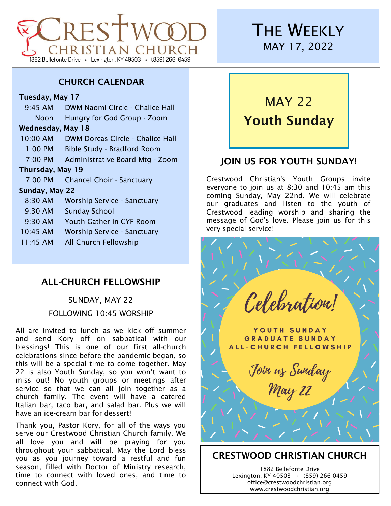

## **THE WEEKLY** MAY 17, 2022

#### CHURCH CALENDAR

#### Tuesday, May 17

| $9:45$ AM         | DWM Naomi Circle - Chalice Hall    |
|-------------------|------------------------------------|
| Noon              | Hungry for God Group - Zoom        |
| Wednesday, May 18 |                                    |
| $10:00$ AM        | DWM Dorcas Circle - Chalice Hall   |
| $1:00$ PM         | <b>Bible Study - Bradford Room</b> |
| 7:00 PM           | Administrative Board Mtg - Zoom    |
| Thursday, May 19  |                                    |
| $7.00 \text{ PM}$ | <b>Chancel Choir - Sanctuary</b>   |
| Sunday, May 22    |                                    |
| $8:30$ AM         | Worship Service - Sanctuary        |
| $9:30$ AM         | <b>Sunday School</b>               |
| $9:30$ AM         | Youth Gather in CYF Room           |
| $10:45$ AM        | Worship Service - Sanctuary        |
| $11:45$ AM        | All Church Fellowship              |
|                   |                                    |

## ALL-CHURCH FELLOWSHIP

## SUNDAY, MAY 22 FOLLOWING 10:45 WORSHIP

All are invited to lunch as we kick off summer and send Kory off on sabbatical with our blessings! This is one of our first all-church celebrations since before the pandemic began, so this will be a special time to come together. May 22 is also Youth Sunday, so you won't want to miss out! No youth groups or meetings after service so that we can all join together as a church family. The event will have a catered Italian bar, taco bar, and salad bar. Plus we will have an ice-cream bar for dessert!

Thank you, Pastor Kory, for all of the ways you serve our Crestwood Christian Church family. We all love you and will be praying for you throughout your sabbatical. May the Lord bless you as you journey toward a restful and fun season, filled with Doctor of Ministry research, time to connect with loved ones, and time to connect with God.

# MAY 22 Youth Sunday

## JOIN US FOR YOUTH SUNDAY!

Crestwood Christian's Youth Groups invite everyone to join us at 8:30 and 10:45 am this coming Sunday, May 22nd. We will celebrate our graduates and listen to the youth of Crestwood leading worship and sharing the message of God's love. Please join us for this very special service!



## CRESTWOOD CHRISTIAN CHURCH

1882 Bellefonte Drive Lexington, KY 40503 **·** (859) 266-0459 office@crestwoodchristian.org www.crestwoodchristian.org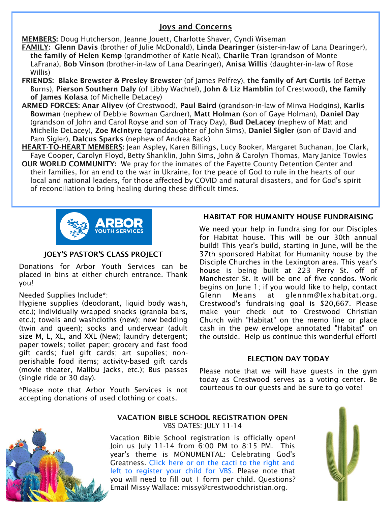#### Joys and Concerns

MEMBERS: Doug Hutcherson, Jeanne Jouett, Charlotte Shaver, Cyndi Wiseman

- FAMILY: Glenn Davis (brother of Julie McDonald), Linda Dearinger (sister-in-law of Lana Dearinger), the family of Helen Kemp (grandmother of Katie Neal), Charlie Tran (grandson of Monte LaFrana), Bob Vinson (brother-in-law of Lana Dearinger), Anisa Willis (daughter-in-law of Rose Willis)
- FRIENDS: Blake Brewster & Presley Brewster (of James Pelfrey), the family of Art Curtis (of Bettye Burns), Pierson Southern Daly (of Libby Wachtel), John & Liz Hamblin (of Crestwood), the family of James Kolasa (of Michelle DeLacey)
- ARMED FORCES: Anar Aliyev (of Crestwood), Paul Baird (grandson-in-law of Minva Hodgins), Karlis Bowman (nephew of Debbie Bowman Gardner), Matt Holman (son of Gaye Holman), Daniel Day (grandson of John and Carol Royse and son of Tracy Day), Bud DeLacey (nephew of Matt and Michelle DeLacey), Zoe McIntyre (granddaughter of John Sims), Daniel Sigler (son of David and Pam Sigler), Dalcus Sparks (nephew of Andrea Back)
- HEART-TO-HEART MEMBERS: Jean Aspley, Karen Billings, Lucy Booker, Margaret Buchanan, Joe Clark, Faye Cooper, Carolyn Floyd, Betty Shanklin, John Sims, John & Carolyn Thomas, Mary Janice Towles
- OUR WORLD COMMUNITY: We pray for the inmates of the Fayette County Detention Center and their families, for an end to the war in Ukraine, for the peace of God to rule in the hearts of our local and national leaders, for those affected by COVID and natural disasters, and for God's spirit of reconciliation to bring healing during these difficult times.



#### JOEY'S PASTOR'S CLASS PROJECT

Donations for Arbor Youth Services can be placed in bins at either church entrance. Thank you!

#### Needed Supplies Include\*:

Hygiene supplies (deodorant, liquid body wash, etc.); individually wrapped snacks (granola bars, etc.); towels and washcloths (new); new bedding (twin and queen); socks and underwear (adult size M, L, XL, and XXL (New); laundry detergent; paper towels; toilet paper; grocery and fast food gift cards; fuel gift cards; art supplies; nonperishable food items; activity-based gift cards (movie theater, Malibu Jacks, etc.); Bus passes (single ride or 30 day).

\*Please note that Arbor Youth Services is not accepting donations of used clothing or coats.

#### HABITAT FOR HUMANITY HOUSE FUNDRAISING

We need your help in fundraising for our Disciples for Habitat house. This will be our 30th annual build! This year's build, starting in June, will be the 37th sponsored Habitat for Humanity house by the Disciple Churches in the Lexington area. This year's house is being built at 223 Perry St. off of Manchester St. It will be one of five condos. Work begins on June 1; if you would like to help, contact Glenn Means at glennm@lexhabitat.org. Crestwood's fundraising goal is \$20,667. Please make your check out to Crestwood Christian Church with "Habitat" on the memo line or place cash in the pew envelope annotated "Habitat" on the outside. Help us continue this wonderful effort!

#### ELECTION DAY TODAY

Please note that we will have guests in the gym today as Crestwood serves as a voting center. Be courteous to our guests and be sure to go vote!



#### VACATION BIBLE SCHOOL REGISTRATION OPEN VBS DATES: JULY 11-14

Vacation Bible School registration is officially open! Join us July 11-14 from 6:00 PM to 8:15 PM. This year's theme is MONUMENTAL: Celebrating God's Greatness. [Click here or on the cacti to the right and](https://forms.gle/9gv9HCdayovGtr558)  [left to register your child for VBS.](https://forms.gle/9gv9HCdayovGtr558) Please note that you will need to fill out 1 form per child. Questions? Email Missy Wallace: missy@crestwoodchristian.org.